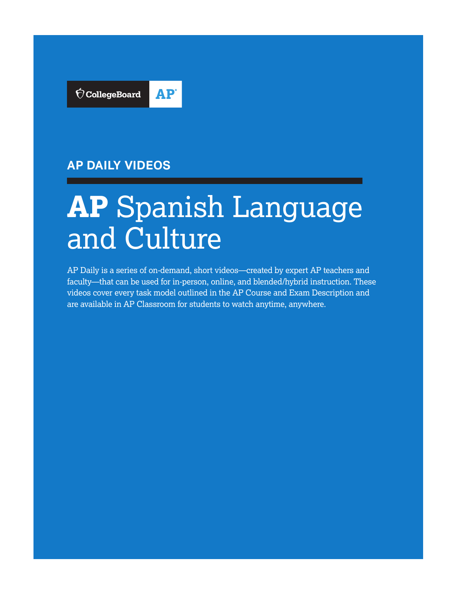

## **AP DAILY VIDEOS**

# **AP** Spanish Language and Culture

AP Daily is a series of on-demand, short videos—created by expert AP teachers and faculty—that can be used for in-person, online, and blended/hybrid instruction. These videos cover every task model outlined in the AP Course and Exam Description and are available in AP Classroom for students to watch anytime, anywhere.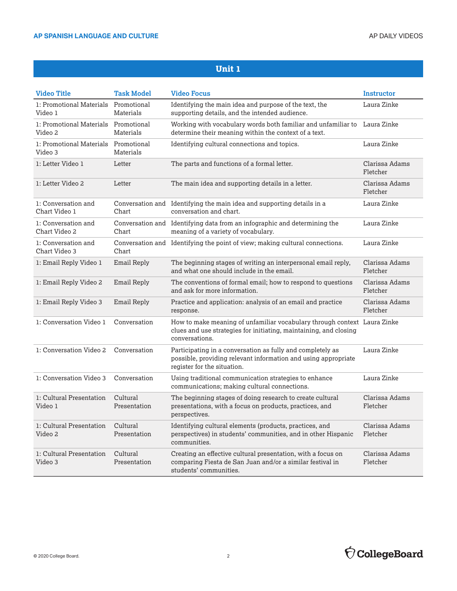| <b>Video Title</b>                              | <b>Task Model</b>        | <b>Video Focus</b>                                                                                                                                              | <b>Instructor</b>          |
|-------------------------------------------------|--------------------------|-----------------------------------------------------------------------------------------------------------------------------------------------------------------|----------------------------|
| 1: Promotional Materials Promotional<br>Video 1 | Materials                | Identifying the main idea and purpose of the text, the<br>supporting details, and the intended audience.                                                        | Laura Zinke                |
| 1: Promotional Materials Promotional<br>Video 2 | Materials                | Working with vocabulary words both familiar and unfamiliar to Laura Zinke<br>determine their meaning within the context of a text.                              |                            |
| 1: Promotional Materials Promotional<br>Video 3 | Materials                | Identifying cultural connections and topics.                                                                                                                    | Laura Zinke                |
| 1: Letter Video 1                               | Letter                   | The parts and functions of a formal letter.                                                                                                                     | Clarissa Adams<br>Fletcher |
| 1: Letter Video 2                               | Letter                   | The main idea and supporting details in a letter.                                                                                                               | Clarissa Adams<br>Fletcher |
| 1: Conversation and<br>Chart Video 1            | Chart                    | Conversation and Identifying the main idea and supporting details in a<br>conversation and chart.                                                               | Laura Zinke                |
| 1: Conversation and<br>Chart Video 2            | Chart                    | Conversation and Identifying data from an infographic and determining the<br>meaning of a variety of vocabulary.                                                | Laura Zinke                |
| 1: Conversation and<br>Chart Video 3            | Chart                    | Conversation and Identifying the point of view; making cultural connections.                                                                                    | Laura Zinke                |
| 1: Email Reply Video 1                          | Email Reply              | The beginning stages of writing an interpersonal email reply,<br>and what one should include in the email.                                                      | Clarissa Adams<br>Fletcher |
| 1: Email Reply Video 2                          | Email Reply              | The conventions of formal email; how to respond to questions<br>and ask for more information.                                                                   | Clarissa Adams<br>Fletcher |
| 1: Email Reply Video 3                          | Email Reply              | Practice and application: analysis of an email and practice<br>response.                                                                                        | Clarissa Adams<br>Fletcher |
| 1: Conversation Video 1                         | Conversation             | How to make meaning of unfamiliar vocabulary through context Laura Zinke<br>clues and use strategies for initiating, maintaining, and closing<br>conversations. |                            |
| 1: Conversation Video 2                         | Conversation             | Participating in a conversation as fully and completely as<br>possible, providing relevant information and using appropriate<br>register for the situation.     | Laura Zinke                |
| 1: Conversation Video 3                         | Conversation             | Using traditional communication strategies to enhance<br>communications; making cultural connections.                                                           | Laura Zinke                |
| 1: Cultural Presentation<br>Video 1             | Cultural<br>Presentation | The beginning stages of doing research to create cultural<br>presentations, with a focus on products, practices, and<br>perspectives.                           | Clarissa Adams<br>Fletcher |
| 1: Cultural Presentation<br>Video 2             | Cultural<br>Presentation | Identifying cultural elements (products, practices, and<br>perspectives) in students' communities, and in other Hispanic<br>communities.                        | Clarissa Adams<br>Fletcher |
| 1: Cultural Presentation<br>Video 3             | Cultural<br>Presentation | Creating an effective cultural presentation, with a focus on<br>comparing Fiesta de San Juan and/or a similar festival in<br>students' communities.             | Clarissa Adams<br>Fletcher |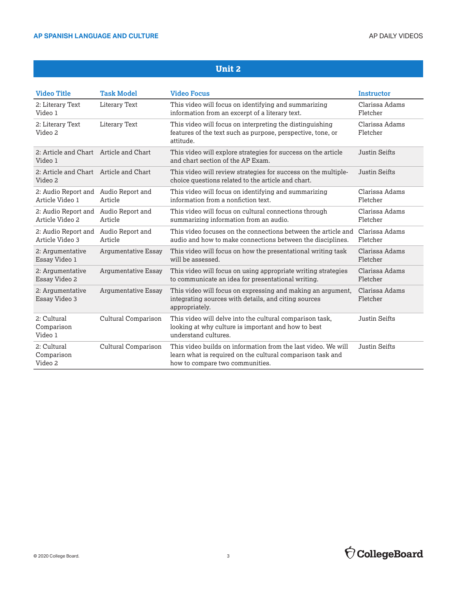| <b>Video Title</b>                                | <b>Task Model</b>           | <b>Video Focus</b>                                                                                                                                             | Instructor                 |
|---------------------------------------------------|-----------------------------|----------------------------------------------------------------------------------------------------------------------------------------------------------------|----------------------------|
| 2: Literary Text<br>Video 1                       | Literary Text               | This video will focus on identifying and summarizing<br>information from an excerpt of a literary text.                                                        | Clarissa Adams<br>Fletcher |
| 2: Literary Text<br>Video 2                       | Literary Text               | This video will focus on interpreting the distinguishing<br>features of the text such as purpose, perspective, tone, or<br>attitude.                           | Clarissa Adams<br>Fletcher |
| 2: Article and Chart Article and Chart<br>Video 1 |                             | This video will explore strategies for success on the article<br>and chart section of the AP Exam.                                                             | <b>Justin Seifts</b>       |
| 2: Article and Chart Article and Chart<br>Video 2 |                             | This video will review strategies for success on the multiple-<br>choice questions related to the article and chart.                                           | Justin Seifts              |
| 2: Audio Report and<br>Article Video 1            | Audio Report and<br>Article | This video will focus on identifying and summarizing<br>information from a nonfiction text.                                                                    | Clarissa Adams<br>Fletcher |
| 2: Audio Report and<br>Article Video 2            | Audio Report and<br>Article | This video will focus on cultural connections through<br>summarizing information from an audio.                                                                | Clarissa Adams<br>Fletcher |
| 2: Audio Report and<br>Article Video 3            | Audio Report and<br>Article | This video focuses on the connections between the article and<br>audio and how to make connections between the disciplines.                                    | Clarissa Adams<br>Fletcher |
| 2: Argumentative<br>Essay Video 1                 | Argumentative Essay         | This video will focus on how the presentational writing task<br>will be assessed.                                                                              | Clarissa Adams<br>Fletcher |
| 2: Argumentative<br>Essay Video 2                 | <b>Argumentative Essay</b>  | This video will focus on using appropriate writing strategies<br>to communicate an idea for presentational writing.                                            | Clarissa Adams<br>Fletcher |
| 2: Argumentative<br>Essay Video 3                 | <b>Argumentative Essay</b>  | This video will focus on expressing and making an argument,<br>integrating sources with details, and citing sources<br>appropriately.                          | Clarissa Adams<br>Fletcher |
| 2: Cultural<br>Comparison<br>Video 1              | Cultural Comparison         | This video will delve into the cultural comparison task,<br>looking at why culture is important and how to best<br>understand cultures.                        | <b>Justin Seifts</b>       |
| 2: Cultural<br>Comparison<br>Video 2              | Cultural Comparison         | This video builds on information from the last video. We will<br>learn what is required on the cultural comparison task and<br>how to compare two communities. | Justin Seifts              |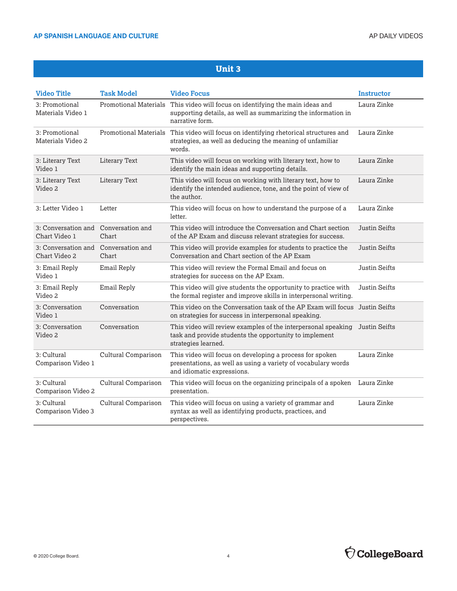| <b>Video Title</b>                   | <b>Task Model</b>            | <b>Video Focus</b>                                                                                                                                      | <b>Instructor</b>    |
|--------------------------------------|------------------------------|---------------------------------------------------------------------------------------------------------------------------------------------------------|----------------------|
| 3: Promotional<br>Materials Video 1  | <b>Promotional Materials</b> | This video will focus on identifying the main ideas and<br>supporting details, as well as summarizing the information in<br>narrative form.             | Laura Zinke          |
| 3: Promotional<br>Materials Video 2  | <b>Promotional Materials</b> | This video will focus on identifying rhetorical structures and<br>strategies, as well as deducing the meaning of unfamiliar<br>words.                   | Laura Zinke          |
| 3: Literary Text<br>Video 1          | <b>Literary Text</b>         | This video will focus on working with literary text, how to<br>identify the main ideas and supporting details.                                          | Laura Zinke          |
| 3: Literary Text<br>Video 2          | <b>Literary Text</b>         | This video will focus on working with literary text, how to<br>identify the intended audience, tone, and the point of view of<br>the author.            | Laura Zinke          |
| 3: Letter Video 1                    | Letter                       | This video will focus on how to understand the purpose of a<br>letter.                                                                                  | Laura Zinke          |
| 3: Conversation and<br>Chart Video 1 | Conversation and<br>Chart    | This video will introduce the Conversation and Chart section<br>of the AP Exam and discuss relevant strategies for success.                             | Justin Seifts        |
| 3: Conversation and<br>Chart Video 2 | Conversation and<br>Chart    | This video will provide examples for students to practice the<br>Conversation and Chart section of the AP Exam                                          | Justin Seifts        |
| 3: Email Reply<br>Video 1            | Email Reply                  | This video will review the Formal Email and focus on<br>strategies for success on the AP Exam.                                                          | <b>Justin Seifts</b> |
| 3: Email Reply<br>Video 2            | Email Reply                  | This video will give students the opportunity to practice with<br>the formal register and improve skills in interpersonal writing.                      | <b>Justin Seifts</b> |
| 3: Conversation<br>Video 1           | Conversation                 | This video on the Conversation task of the AP Exam will focus Justin Seifts<br>on strategies for success in interpersonal speaking.                     |                      |
| 3: Conversation<br>Video 2           | Conversation                 | This video will review examples of the interpersonal speaking<br>task and provide students the opportunity to implement<br>strategies learned.          | Justin Seifts        |
| 3: Cultural<br>Comparison Video 1    | Cultural Comparison          | This video will focus on developing a process for spoken<br>presentations, as well as using a variety of vocabulary words<br>and idiomatic expressions. | Laura Zinke          |
| 3: Cultural<br>Comparison Video 2    | Cultural Comparison          | This video will focus on the organizing principals of a spoken<br>presentation.                                                                         | Laura Zinke          |
| 3: Cultural<br>Comparison Video 3    | Cultural Comparison          | This video will focus on using a variety of grammar and<br>syntax as well as identifying products, practices, and<br>perspectives.                      | Laura Zinke          |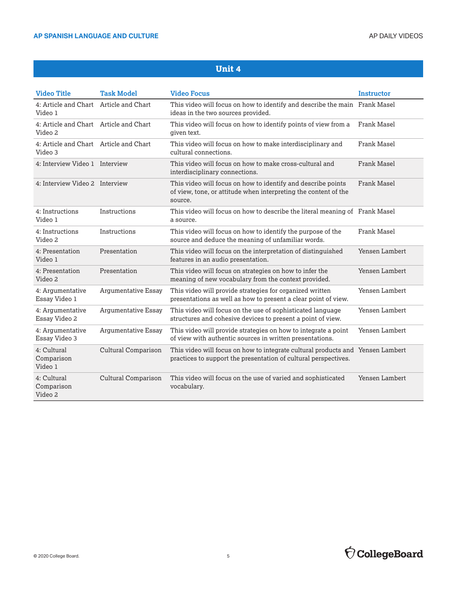| <b>Video Title</b>                                | <b>Task Model</b>          | <b>Video Focus</b>                                                                                                                                | Instructor         |
|---------------------------------------------------|----------------------------|---------------------------------------------------------------------------------------------------------------------------------------------------|--------------------|
| 4: Article and Chart<br>Video 1                   | Article and Chart          | This video will focus on how to identify and describe the main Frank Masel<br>ideas in the two sources provided.                                  |                    |
| 4: Article and Chart Article and Chart<br>Video 2 |                            | This video will focus on how to identify points of view from a<br>given text.                                                                     | Frank Masel        |
| 4: Article and Chart Article and Chart<br>Video 3 |                            | This video will focus on how to make interdisciplinary and<br>cultural connections.                                                               | Frank Masel        |
| 4: Interview Video 1 Interview                    |                            | This video will focus on how to make cross-cultural and<br>interdisciplinary connections.                                                         | Frank Masel        |
| 4: Interview Video 2 Interview                    |                            | This video will focus on how to identify and describe points<br>of view, tone, or attitude when interpreting the content of the<br>source.        | <b>Frank Masel</b> |
| 4: Instructions<br>Video 1                        | Instructions               | This video will focus on how to describe the literal meaning of Frank Masel<br>a source.                                                          |                    |
| 4: Instructions<br>Video 2                        | Instructions               | This video will focus on how to identify the purpose of the<br>source and deduce the meaning of unfamiliar words.                                 | Frank Masel        |
| 4: Presentation<br>Video 1                        | Presentation               | This video will focus on the interpretation of distinguished<br>features in an audio presentation.                                                | Yensen Lambert     |
| 4: Presentation<br>Video 2                        | Presentation               | This video will focus on strategies on how to infer the<br>meaning of new vocabulary from the context provided.                                   | Yensen Lambert     |
| 4: Argumentative<br>Essay Video 1                 | <b>Argumentative Essay</b> | This video will provide strategies for organized written<br>presentations as well as how to present a clear point of view.                        | Yensen Lambert     |
| 4: Argumentative<br>Essay Video 2                 | <b>Argumentative Essay</b> | This video will focus on the use of sophisticated language<br>structures and cohesive devices to present a point of view.                         | Yensen Lambert     |
| 4: Argumentative<br>Essay Video 3                 | Argumentative Essay        | This video will provide strategies on how to integrate a point<br>of view with authentic sources in written presentations.                        | Yensen Lambert     |
| 4: Cultural<br>Comparison<br>Video 1              | Cultural Comparison        | This video will focus on how to integrate cultural products and Yensen Lambert<br>practices to support the presentation of cultural perspectives. |                    |
| 4: Cultural<br>Comparison<br>Video 2              | Cultural Comparison        | This video will focus on the use of varied and sophisticated<br>vocabulary.                                                                       | Yensen Lambert     |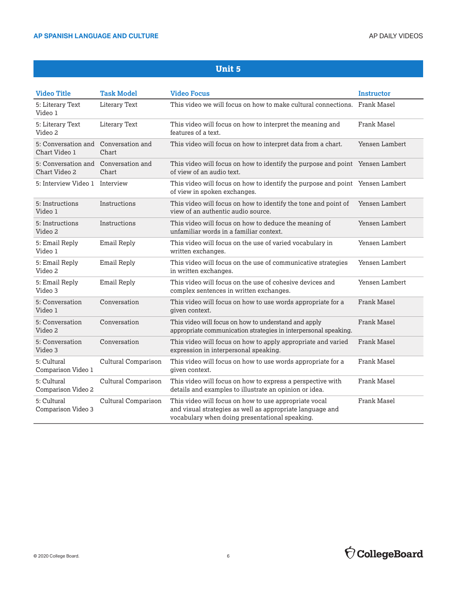| <b>Video Title</b>                                    | <b>Task Model</b>         | <b>Video Focus</b>                                                                                                                                                   | Instructor     |
|-------------------------------------------------------|---------------------------|----------------------------------------------------------------------------------------------------------------------------------------------------------------------|----------------|
| 5: Literary Text<br>Video 1                           | Literary Text             | This video we will focus on how to make cultural connections. Frank Masel                                                                                            |                |
| 5: Literary Text<br>Video 2                           | Literary Text             | This video will focus on how to interpret the meaning and<br>features of a text.                                                                                     | Frank Masel    |
| 5: Conversation and<br>Chart Video 1                  | Conversation and<br>Chart | This video will focus on how to interpret data from a chart.                                                                                                         | Yensen Lambert |
| 5: Conversation and Conversation and<br>Chart Video 2 | Chart                     | This video will focus on how to identify the purpose and point Yensen Lambert<br>of view of an audio text.                                                           |                |
| 5: Interview Video 1 Interview                        |                           | This video will focus on how to identify the purpose and point Yensen Lambert<br>of view in spoken exchanges.                                                        |                |
| 5: Instructions<br>Video 1                            | Instructions              | This video will focus on how to identify the tone and point of<br>view of an authentic audio source.                                                                 | Yensen Lambert |
| 5: Instructions<br>Video 2                            | Instructions              | This video will focus on how to deduce the meaning of<br>unfamiliar words in a familiar context.                                                                     | Yensen Lambert |
| 5: Email Reply<br>Video 1                             | Email Reply               | This video will focus on the use of varied vocabulary in<br>written exchanges.                                                                                       | Yensen Lambert |
| 5: Email Reply<br>Video 2                             | Email Reply               | This video will focus on the use of communicative strategies<br>in written exchanges.                                                                                | Yensen Lambert |
| 5: Email Reply<br>Video 3                             | <b>Email Reply</b>        | This video will focus on the use of cohesive devices and<br>complex sentences in written exchanges.                                                                  | Yensen Lambert |
| 5: Conversation<br>Video 1                            | Conversation              | This video will focus on how to use words appropriate for a<br>given context.                                                                                        | Frank Masel    |
| 5: Conversation<br>Video 2                            | Conversation              | This video will focus on how to understand and apply<br>appropriate communication strategies in interpersonal speaking.                                              | Frank Masel    |
| 5: Conversation<br>Video 3                            | Conversation              | This video will focus on how to apply appropriate and varied<br>expression in interpersonal speaking.                                                                | Frank Masel    |
| 5: Cultural<br>Comparison Video 1                     | Cultural Comparison       | This video will focus on how to use words appropriate for a<br>given context.                                                                                        | Frank Masel    |
| 5: Cultural<br>Comparison Video 2                     | Cultural Comparison       | This video will focus on how to express a perspective with<br>details and examples to illustrate an opinion or idea.                                                 | Frank Masel    |
| 5: Cultural<br>Comparison Video 3                     | Cultural Comparison       | This video will focus on how to use appropriate vocal<br>and visual strategies as well as appropriate language and<br>vocabulary when doing presentational speaking. | Frank Masel    |